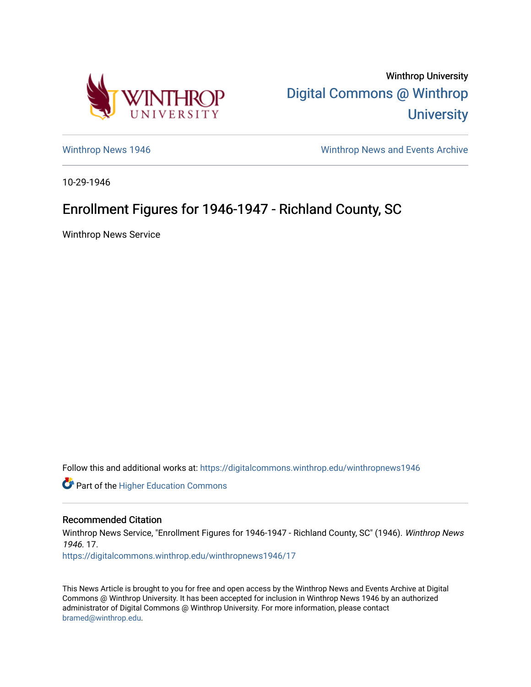

Winthrop University [Digital Commons @ Winthrop](https://digitalcommons.winthrop.edu/)  **University** 

[Winthrop News 1946](https://digitalcommons.winthrop.edu/winthropnews1946) [Winthrop News and Events Archive](https://digitalcommons.winthrop.edu/winthropnewsarchives) 

10-29-1946

## Enrollment Figures for 1946-1947 - Richland County, SC

Winthrop News Service

Follow this and additional works at: [https://digitalcommons.winthrop.edu/winthropnews1946](https://digitalcommons.winthrop.edu/winthropnews1946?utm_source=digitalcommons.winthrop.edu%2Fwinthropnews1946%2F17&utm_medium=PDF&utm_campaign=PDFCoverPages) 

Part of the [Higher Education Commons](http://network.bepress.com/hgg/discipline/1245?utm_source=digitalcommons.winthrop.edu%2Fwinthropnews1946%2F17&utm_medium=PDF&utm_campaign=PDFCoverPages) 

## Recommended Citation

Winthrop News Service, "Enrollment Figures for 1946-1947 - Richland County, SC" (1946). Winthrop News 1946. 17.

[https://digitalcommons.winthrop.edu/winthropnews1946/17](https://digitalcommons.winthrop.edu/winthropnews1946/17?utm_source=digitalcommons.winthrop.edu%2Fwinthropnews1946%2F17&utm_medium=PDF&utm_campaign=PDFCoverPages)

This News Article is brought to you for free and open access by the Winthrop News and Events Archive at Digital Commons @ Winthrop University. It has been accepted for inclusion in Winthrop News 1946 by an authorized administrator of Digital Commons @ Winthrop University. For more information, please contact [bramed@winthrop.edu.](mailto:bramed@winthrop.edu)